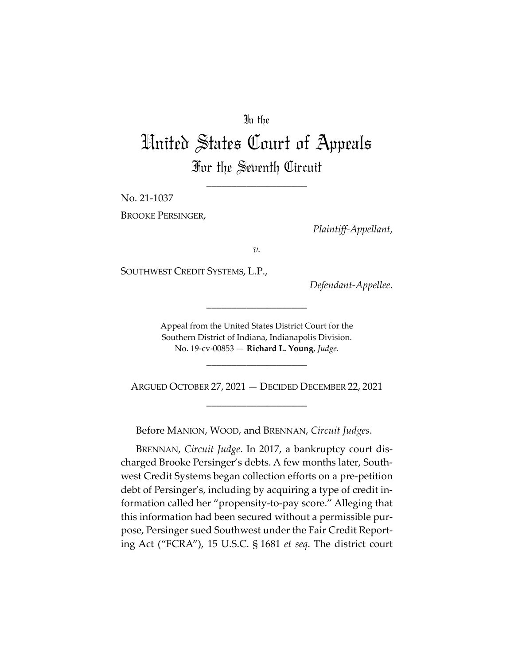## In the

# United States Court of Appeals For the Seventh Circuit

\_\_\_\_\_\_\_\_\_\_\_\_\_\_\_\_\_\_\_\_

No. 21‐1037

BROOKE PERSINGER,

*Plaintiff‐Appellant*,

*v.*

SOUTHWEST CREDIT SYSTEMS, L.P.,

*Defendant‐Appellee*.

Appeal from the United States District Court for the Southern District of Indiana, Indianapolis Division. No. 19‐cv‐00853 — **Richard L. Young**, *Judge*.

\_\_\_\_\_\_\_\_\_\_\_\_\_\_\_\_\_\_\_\_

\_\_\_\_\_\_\_\_\_\_\_\_\_\_\_\_\_\_\_\_

ARGUED OCTOBER 27, 2021 — DECIDED DECEMBER 22, 2021 \_\_\_\_\_\_\_\_\_\_\_\_\_\_\_\_\_\_\_\_

Before MANION, WOOD, and BRENNAN, *Circuit Judges*.

BRENNAN, *Circuit Judge*. In 2017, a bankruptcy court dis‐ charged Brooke Persinger's debts. A few months later, South‐ west Credit Systems began collection efforts on a pre‐petition debt of Persinger's, including by acquiring a type of credit in‐ formation called her "propensity‐to‐pay score." Alleging that this information had been secured without a permissible pur‐ pose, Persinger sued Southwest under the Fair Credit Report‐ ing Act ("FCRA"), 15 U.S.C. § 1681 *et seq*. The district court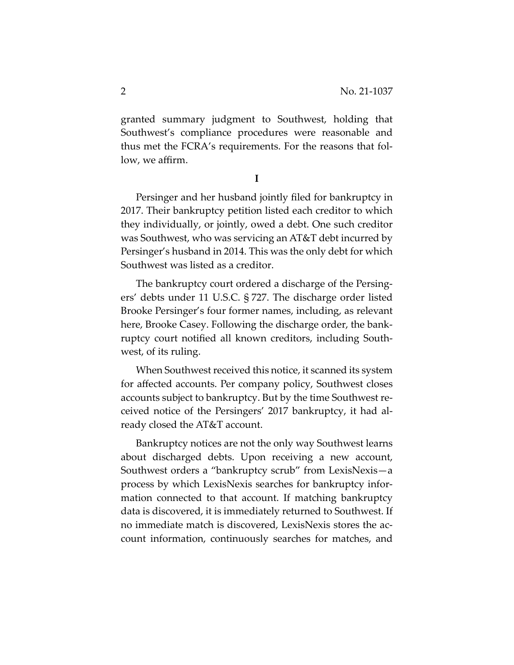granted summary judgment to Southwest, holding that Southwest's compliance procedures were reasonable and thus met the FCRA's requirements. For the reasons that fol‐ low, we affirm.

**I**

Persinger and her husband jointly filed for bankruptcy in 2017. Their bankruptcy petition listed each creditor to which they individually, or jointly, owed a debt. One such creditor was Southwest, who was servicing an AT&T debt incurred by Persinger's husband in 2014. This was the only debt for which Southwest was listed as a creditor.

The bankruptcy court ordered a discharge of the Persing‐ ers' debts under 11 U.S.C. § 727. The discharge order listed Brooke Persinger's four former names, including, as relevant here, Brooke Casey. Following the discharge order, the bank‐ ruptcy court notified all known creditors, including South‐ west, of its ruling.

When Southwest received this notice, it scanned its system for affected accounts. Per company policy, Southwest closes accounts subject to bankruptcy. But by the time Southwest re‐ ceived notice of the Persingers' 2017 bankruptcy, it had al‐ ready closed the AT&T account.

Bankruptcy notices are not the only way Southwest learns about discharged debts. Upon receiving a new account, Southwest orders a "bankruptcy scrub" from LexisNexis—a process by which LexisNexis searches for bankruptcy infor‐ mation connected to that account. If matching bankruptcy data is discovered, it is immediately returned to Southwest. If no immediate match is discovered, LexisNexis stores the account information, continuously searches for matches, and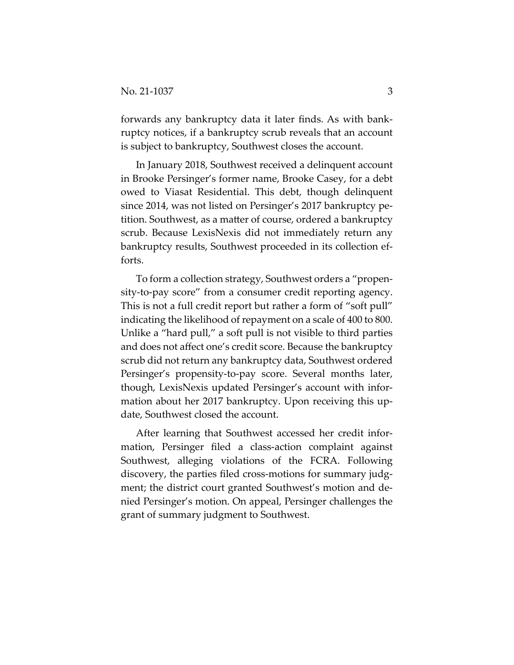forwards any bankruptcy data it later finds. As with bank‐ ruptcy notices, if a bankruptcy scrub reveals that an account is subject to bankruptcy, Southwest closes the account.

In January 2018, Southwest received a delinquent account in Brooke Persinger's former name, Brooke Casey, for a debt owed to Viasat Residential. This debt, though delinquent since 2014, was not listed on Persinger's 2017 bankruptcy pe‐ tition. Southwest, as a matter of course, ordered a bankruptcy scrub. Because LexisNexis did not immediately return any bankruptcy results, Southwest proceeded in its collection ef‐ forts.

To form a collection strategy, Southwest orders a "propen‐ sity-to-pay score" from a consumer credit reporting agency. This is not a full credit report but rather a form of "soft pull" indicating the likelihood of repayment on a scale of 400 to 800. Unlike a "hard pull," a soft pull is not visible to third parties and does not affect one's credit score. Because the bankruptcy scrub did not return any bankruptcy data, Southwest ordered Persinger's propensity‐to‐pay score. Several months later, though, LexisNexis updated Persinger's account with infor‐ mation about her 2017 bankruptcy. Upon receiving this update, Southwest closed the account.

After learning that Southwest accessed her credit infor‐ mation, Persinger filed a class-action complaint against Southwest, alleging violations of the FCRA. Following discovery, the parties filed cross‐motions for summary judg‐ ment; the district court granted Southwest's motion and de‐ nied Persinger's motion. On appeal, Persinger challenges the grant of summary judgment to Southwest.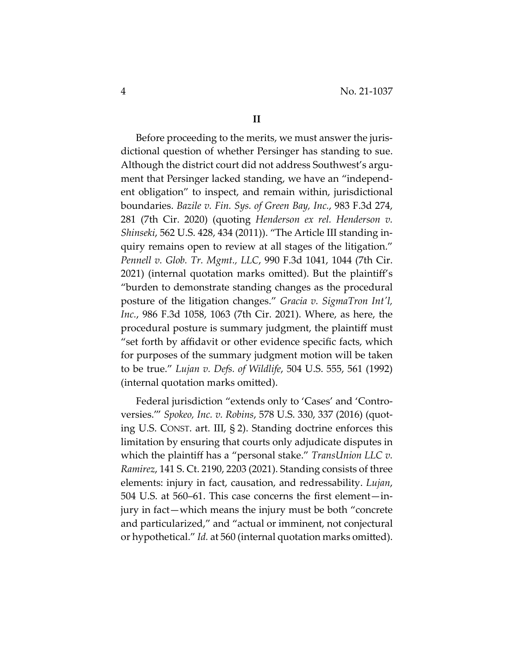Before proceeding to the merits, we must answer the jurisdictional question of whether Persinger has standing to sue. Although the district court did not address Southwest's argument that Persinger lacked standing, we have an "independ‐ ent obligation" to inspect, and remain within, jurisdictional boundaries. *Bazile v. Fin. Sys. of Green Bay, Inc.*, 983 F.3d 274, 281 (7th Cir. 2020) (quoting *Henderson ex rel. Henderson v. Shinseki*, 562 U.S. 428, 434 (2011)). "The Article III standing in‐ quiry remains open to review at all stages of the litigation." *Pennell v. Glob. Tr. Mgmt., LLC*, 990 F.3d 1041, 1044 (7th Cir. 2021) (internal quotation marks omitted). But the plaintiff's "burden to demonstrate standing changes as the procedural posture of the litigation changes." *Gracia v. SigmaTron Intʹl, Inc.*, 986 F.3d 1058, 1063 (7th Cir. 2021). Where, as here, the procedural posture is summary judgment, the plaintiff must "set forth by affidavit or other evidence specific facts, which for purposes of the summary judgment motion will be taken to be true." *Lujan v. Defs. of Wildlife*, 504 U.S. 555, 561 (1992) (internal quotation marks omitted).

Federal jurisdiction "extends only to 'Cases' and 'Controversies.'" *Spokeo, Inc. v. Robins*, 578 U.S. 330, 337 (2016) (quot‐ ing U.S. CONST. art. III, § 2). Standing doctrine enforces this limitation by ensuring that courts only adjudicate disputes in which the plaintiff has a "personal stake." *TransUnion LLC v. Ramirez*, 141 S. Ct. 2190, 2203 (2021). Standing consists of three elements: injury in fact, causation, and redressability. *Lujan*, 504 U.S. at 560–61. This case concerns the first element—in‐ jury in fact—which means the injury must be both "concrete and particularized," and "actual or imminent, not conjectural or hypothetical." *Id.* at 560 (internal quotation marks omitted).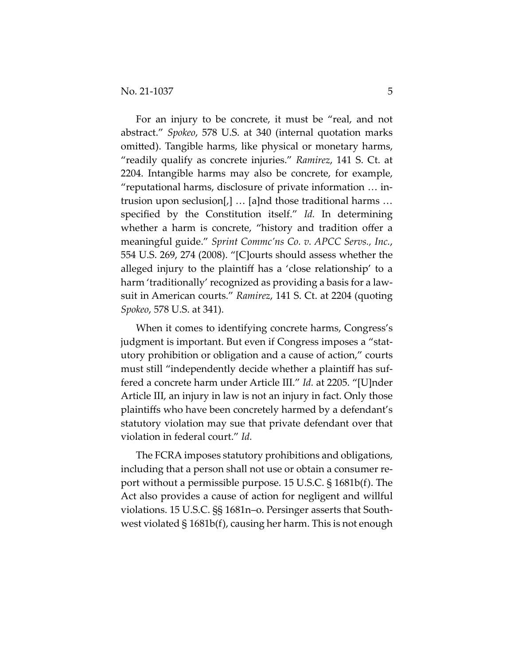For an injury to be concrete, it must be "real, and not abstract." *Spokeo*, 578 U.S. at 340 (internal quotation marks omitted). Tangible harms, like physical or monetary harms, "readily qualify as concrete injuries." *Ramirez*, 141 S. Ct. at 2204. Intangible harms may also be concrete, for example, "reputational harms, disclosure of private information … in‐ trusion upon seclusion[,] … [a]nd those traditional harms … specified by the Constitution itself." *Id.* In determining whether a harm is concrete, "history and tradition offer a meaningful guide." *Sprint Commc'ns Co. v. APCC Servs., Inc.*, 554 U.S. 269, 274 (2008). "[C]ourts should assess whether the alleged injury to the plaintiff has a 'close relationship' to a harm 'traditionally' recognized as providing a basis for a lawsuit in American courts." *Ramirez*, 141 S. Ct. at 2204 (quoting *Spokeo*, 578 U.S. at 341).

When it comes to identifying concrete harms, Congress's judgment is important. But even if Congress imposes a "stat‐ utory prohibition or obligation and a cause of action," courts must still "independently decide whether a plaintiff has suf‐ fered a concrete harm under Article III." *Id.* at 2205. "[U]nder Article III, an injury in law is not an injury in fact. Only those plaintiffs who have been concretely harmed by a defendant's statutory violation may sue that private defendant over that violation in federal court." *Id.*

The FCRA imposes statutory prohibitions and obligations, including that a person shall not use or obtain a consumer report without a permissible purpose. 15 U.S.C. § 1681b(f). The Act also provides a cause of action for negligent and willful violations. 15 U.S.C. §§ 1681n–o. Persinger asserts that South‐ west violated § 1681b(f), causing her harm. This is not enough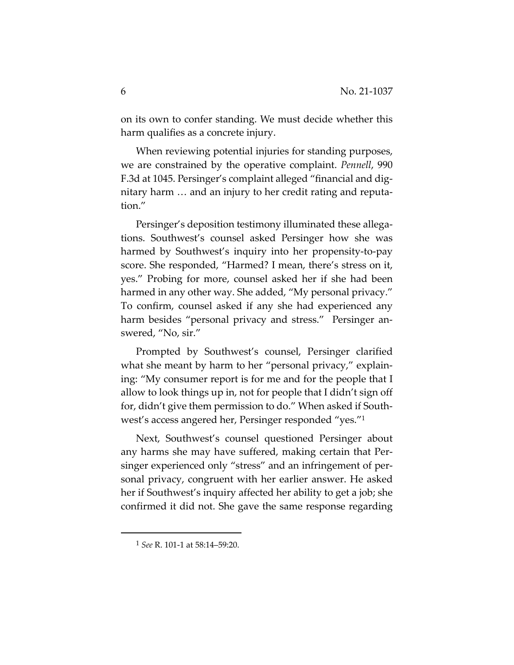on its own to confer standing. We must decide whether this harm qualifies as a concrete injury.

When reviewing potential injuries for standing purposes, we are constrained by the operative complaint. *Pennell*, 990 F.3d at 1045. Persinger's complaint alleged "financial and dig‐ nitary harm … and an injury to her credit rating and reputa‐ tion."

Persinger's deposition testimony illuminated these allega‐ tions. Southwest's counsel asked Persinger how she was harmed by Southwest's inquiry into her propensity‐to‐pay score. She responded, "Harmed? I mean, there's stress on it, yes." Probing for more, counsel asked her if she had been harmed in any other way. She added, "My personal privacy." To confirm, counsel asked if any she had experienced any harm besides "personal privacy and stress." Persinger answered, "No, sir."

Prompted by Southwest's counsel, Persinger clarified what she meant by harm to her "personal privacy," explaining: "My consumer report is for me and for the people that I allow to look things up in, not for people that I didn't sign off for, didn't give them permission to do." When asked if South‐ west's access angered her, Persinger responded "yes."1

Next, Southwest's counsel questioned Persinger about any harms she may have suffered, making certain that Per‐ singer experienced only "stress" and an infringement of personal privacy, congruent with her earlier answer. He asked her if Southwest's inquiry affected her ability to get a job; she confirmed it did not. She gave the same response regarding

<sup>1</sup> *See* R. 101‐1 at 58:14–59:20.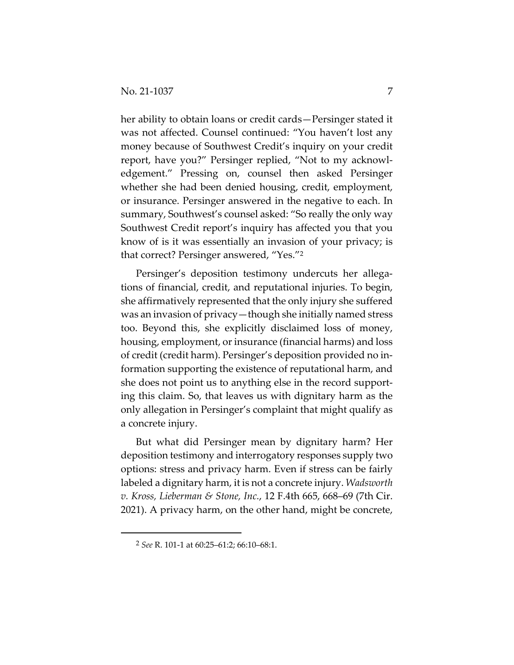her ability to obtain loans or credit cards—Persinger stated it was not affected. Counsel continued: "You haven't lost any money because of Southwest Credit's inquiry on your credit report, have you?" Persinger replied, "Not to my acknowl‐ edgement." Pressing on, counsel then asked Persinger whether she had been denied housing, credit, employment, or insurance. Persinger answered in the negative to each. In summary, Southwest's counsel asked: "So really the only way Southwest Credit report's inquiry has affected you that you know of is it was essentially an invasion of your privacy; is that correct? Persinger answered, "Yes."2

Persinger's deposition testimony undercuts her allegations of financial, credit, and reputational injuries. To begin, she affirmatively represented that the only injury she suffered was an invasion of privacy—though she initially named stress too. Beyond this, she explicitly disclaimed loss of money, housing, employment, or insurance (financial harms) and loss of credit (credit harm). Persinger's deposition provided no in‐ formation supporting the existence of reputational harm, and she does not point us to anything else in the record support‐ ing this claim. So, that leaves us with dignitary harm as the only allegation in Persinger's complaint that might qualify as a concrete injury.

But what did Persinger mean by dignitary harm? Her deposition testimony and interrogatory responses supply two options: stress and privacy harm. Even if stress can be fairly labeled a dignitary harm, it is not a concrete injury. *Wadsworth v. Kross, Lieberman & Stone, Inc.*, 12 F.4th 665, 668–69 (7th Cir. 2021). A privacy harm, on the other hand, might be concrete,

<sup>2</sup> *See* R. 101‐1 at 60:25–61:2; 66:10–68:1.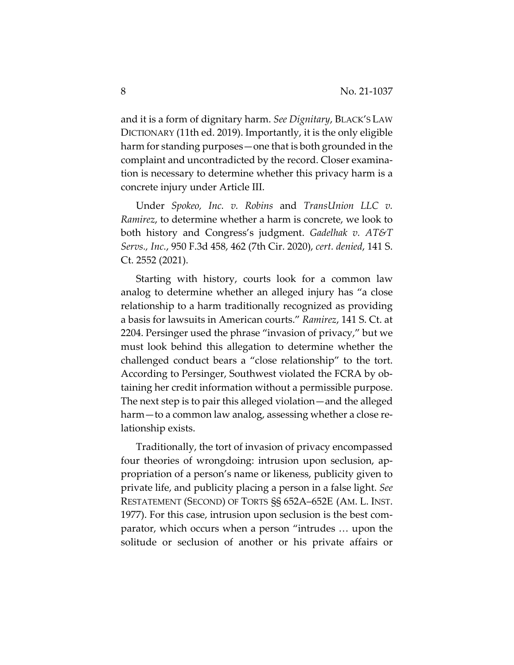and it is a form of dignitary harm. *See Dignitary*, BLACK'S LAW DICTIONARY (11th ed. 2019). Importantly, it is the only eligible harm for standing purposes—one that is both grounded in the complaint and uncontradicted by the record. Closer examina‐ tion is necessary to determine whether this privacy harm is a concrete injury under Article III.

Under *Spokeo, Inc. v. Robins* and *TransUnion LLC v. Ramirez*, to determine whether a harm is concrete, we look to both history and Congress's judgment. *Gadelhak v. AT&T Servs., Inc.*, 950 F.3d 458, 462 (7th Cir. 2020), *cert. denied*, 141 S. Ct. 2552 (2021).

Starting with history, courts look for a common law analog to determine whether an alleged injury has "a close relationship to a harm traditionally recognized as providing a basis for lawsuits in American courts." *Ramirez*, 141 S. Ct. at 2204. Persinger used the phrase "invasion of privacy," but we must look behind this allegation to determine whether the challenged conduct bears a "close relationship" to the tort. According to Persinger, Southwest violated the FCRA by ob‐ taining her credit information without a permissible purpose. The next step is to pair this alleged violation—and the alleged harm—to a common law analog, assessing whether a close relationship exists.

Traditionally, the tort of invasion of privacy encompassed four theories of wrongdoing: intrusion upon seclusion, appropriation of a person's name or likeness, publicity given to private life, and publicity placing a person in a false light. *See* RESTATEMENT (SECOND) OF TORTS §§ 652A–652E (AM. L. INST. 1977). For this case, intrusion upon seclusion is the best com‐ parator, which occurs when a person "intrudes … upon the solitude or seclusion of another or his private affairs or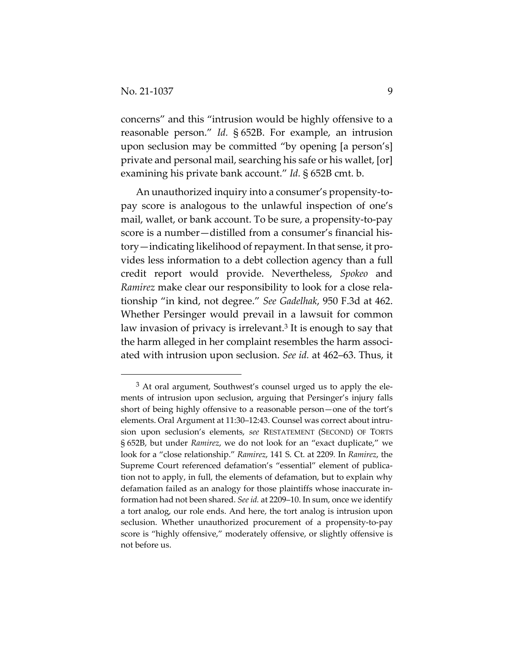concerns" and this "intrusion would be highly offensive to a reasonable person." *Id.* § 652B. For example, an intrusion upon seclusion may be committed "by opening [a person's] private and personal mail, searching his safe or his wallet, [or] examining his private bank account." *Id.* § 652B cmt. b.

An unauthorized inquiry into a consumer's propensity‐to‐ pay score is analogous to the unlawful inspection of one's mail, wallet, or bank account. To be sure, a propensity‐to‐pay score is a number—distilled from a consumer's financial history—indicating likelihood of repayment. In that sense, it provides less information to a debt collection agency than a full credit report would provide. Nevertheless, *Spokeo* and *Ramirez* make clear our responsibility to look for a close rela‐ tionship "in kind, not degree." *See Gadelhak*, 950 F.3d at 462. Whether Persinger would prevail in a lawsuit for common law invasion of privacy is irrelevant.<sup>3</sup> It is enough to say that the harm alleged in her complaint resembles the harm associated with intrusion upon seclusion. *See id.* at 462–63. Thus, it

<sup>3</sup> At oral argument, Southwest's counsel urged us to apply the ele‐ ments of intrusion upon seclusion, arguing that Persinger's injury falls short of being highly offensive to a reasonable person—one of the tort's elements. Oral Argument at 11:30–12:43. Counsel was correct about intrusion upon seclusion's elements, *see* RESTATEMENT (SECOND) OF TORTS § 652B, but under *Ramirez*, we do not look for an "exact duplicate," we look for a "close relationship." *Ramirez*, 141 S. Ct. at 2209*.* In *Ramirez*, the Supreme Court referenced defamation's "essential" element of publication not to apply, in full, the elements of defamation, but to explain why defamation failed as an analogy for those plaintiffs whose inaccurate in‐ formation had not been shared. *See id.* at 2209–10. In sum, once we identify a tort analog, our role ends. And here, the tort analog is intrusion upon seclusion. Whether unauthorized procurement of a propensity-to-pay score is "highly offensive," moderately offensive, or slightly offensive is not before us.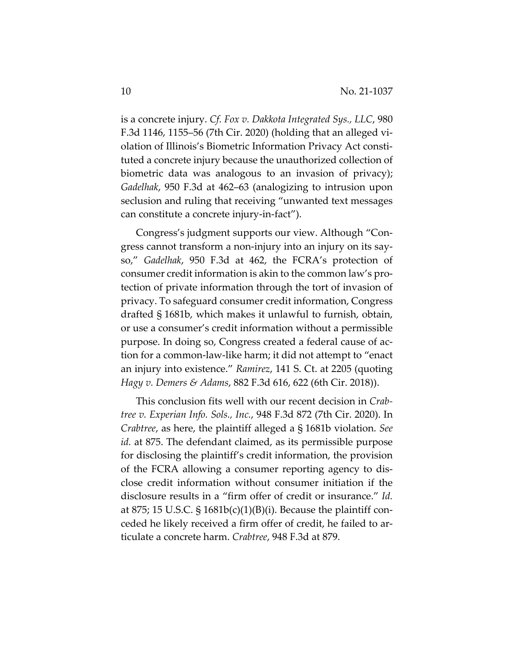is a concrete injury. *Cf. Fox v. Dakkota Integrated Sys., LLC*, 980 F.3d 1146, 1155–56 (7th Cir. 2020) (holding that an alleged vi‐ olation of Illinois's Biometric Information Privacy Act consti‐ tuted a concrete injury because the unauthorized collection of biometric data was analogous to an invasion of privacy); *Gadelhak*, 950 F.3d at 462–63 (analogizing to intrusion upon seclusion and ruling that receiving "unwanted text messages can constitute a concrete injury‐in‐fact").

Congress's judgment supports our view. Although "Con‐ gress cannot transform a non‐injury into an injury on its say‐ so," *Gadelhak*, 950 F.3d at 462, the FCRA's protection of consumer credit information is akin to the common law's pro‐ tection of private information through the tort of invasion of privacy. To safeguard consumer credit information, Congress drafted § 1681b, which makes it unlawful to furnish, obtain, or use a consumer's credit information without a permissible purpose. In doing so, Congress created a federal cause of ac‐ tion for a common‐law‐like harm; it did not attempt to "enact an injury into existence." *Ramirez*, 141 S. Ct. at 2205 (quoting *Hagy v. Demers & Adams*, 882 F.3d 616, 622 (6th Cir. 2018)).

This conclusion fits well with our recent decision in *Crab‐ tree v. Experian Info. Sols., Inc.*, 948 F.3d 872 (7th Cir. 2020). In *Crabtree*, as here, the plaintiff alleged a § 1681b violation. *See id.* at 875. The defendant claimed, as its permissible purpose for disclosing the plaintiff's credit information, the provision of the FCRA allowing a consumer reporting agency to dis‐ close credit information without consumer initiation if the disclosure results in a "firm offer of credit or insurance." *Id.* at 875; 15 U.S.C. §  $1681b(c)(1)(B)(i)$ . Because the plaintiff conceded he likely received a firm offer of credit, he failed to ar‐ ticulate a concrete harm. *Crabtree*, 948 F.3d at 879.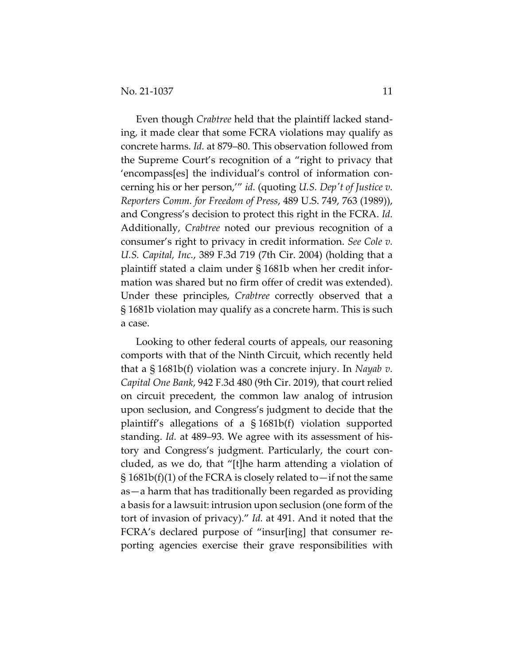Even though *Crabtree* held that the plaintiff lacked stand‐ ing, it made clear that some FCRA violations may qualify as concrete harms. *Id.* at 879–80. This observation followed from the Supreme Court's recognition of a "right to privacy that 'encompass[es] the individual's control of information con‐ cerning his or her person,'" *id.* (quoting *U.S. Depʹt of Justice v. Reporters Comm. for Freedom of Press*, 489 U.S. 749, 763 (1989)), and Congress's decision to protect this right in the FCRA. *Id.* Additionally, *Crabtree* noted our previous recognition of a consumer's right to privacy in credit information. *See Cole v. U.S. Capital, Inc.*, 389 F.3d 719 (7th Cir. 2004) (holding that a plaintiff stated a claim under § 1681b when her credit infor‐ mation was shared but no firm offer of credit was extended). Under these principles, *Crabtree* correctly observed that a § 1681b violation may qualify as a concrete harm. This is such a case.

Looking to other federal courts of appeals, our reasoning comports with that of the Ninth Circuit, which recently held that a § 1681b(f) violation was a concrete injury. In *Nayab v. Capital One Bank*, 942 F.3d 480 (9th Cir. 2019), that court relied on circuit precedent, the common law analog of intrusion upon seclusion, and Congress's judgment to decide that the plaintiff's allegations of a § 1681b(f) violation supported standing. *Id.* at 489–93. We agree with its assessment of his‐ tory and Congress's judgment. Particularly, the court con‐ cluded, as we do, that "[t]he harm attending a violation of § 1681b(f)(1) of the FCRA is closely related to—if not the same as—a harm that has traditionally been regarded as providing a basis for a lawsuit: intrusion upon seclusion (one form of the tort of invasion of privacy)." *Id.* at 491. And it noted that the FCRA's declared purpose of "insur[ing] that consumer re‐ porting agencies exercise their grave responsibilities with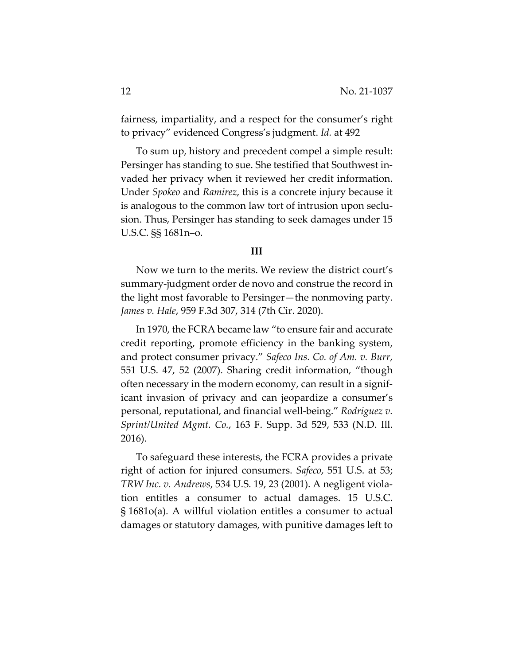fairness, impartiality, and a respect for the consumer's right to privacy" evidenced Congress's judgment. *Id.* at 492

To sum up, history and precedent compel a simple result: Persinger has standing to sue. She testified that Southwest in‐ vaded her privacy when it reviewed her credit information. Under *Spokeo* and *Ramirez*, this is a concrete injury because it is analogous to the common law tort of intrusion upon seclu‐ sion. Thus, Persinger has standing to seek damages under 15 U.S.C. §§ 1681n–o.

#### **III**

Now we turn to the merits. We review the district court's summary‐judgment order de novo and construe the record in the light most favorable to Persinger—the nonmoving party. *James v. Hale*, 959 F.3d 307, 314 (7th Cir. 2020).

In 1970, the FCRA became law "to ensure fair and accurate credit reporting, promote efficiency in the banking system, and protect consumer privacy." *Safeco Ins. Co. of Am. v. Burr*, 551 U.S. 47, 52 (2007). Sharing credit information, "though often necessary in the modern economy, can result in a signif‐ icant invasion of privacy and can jeopardize a consumer's personal, reputational, and financial well‐being." *Rodriguez v. Sprint/United Mgmt. Co.*, 163 F. Supp. 3d 529, 533 (N.D. Ill. 2016).

To safeguard these interests, the FCRA provides a private right of action for injured consumers. *Safeco*, 551 U.S. at 53; *TRW Inc. v. Andrews*, 534 U.S. 19, 23 (2001). A negligent viola‐ tion entitles a consumer to actual damages. 15 U.S.C. § 1681o(a). A willful violation entitles a consumer to actual damages or statutory damages, with punitive damages left to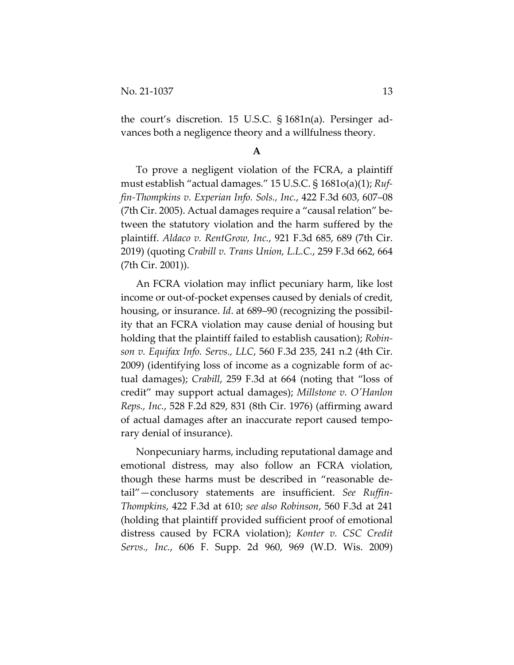the court's discretion. 15 U.S.C. § 1681n(a). Persinger ad‐ vances both a negligence theory and a willfulness theory.

#### **A**

To prove a negligent violation of the FCRA, a plaintiff must establish "actual damages." 15 U.S.C. § 1681o(a)(1); *Ruf‐ fin‐Thompkins v. Experian Info. Sols., Inc.*, 422 F.3d 603, 607–08 (7th Cir. 2005). Actual damages require a "causal relation" be‐ tween the statutory violation and the harm suffered by the plaintiff. *Aldaco v. RentGrow, Inc.*, 921 F.3d 685, 689 (7th Cir. 2019) (quoting *Crabill v. Trans Union, L.L.C.*, 259 F.3d 662, 664 (7th Cir. 2001)).

An FCRA violation may inflict pecuniary harm, like lost income or out‐of‐pocket expenses caused by denials of credit, housing, or insurance. *Id*. at 689–90 (recognizing the possibil‐ ity that an FCRA violation may cause denial of housing but holding that the plaintiff failed to establish causation); *Robin‐ son v. Equifax Info. Servs., LLC*, 560 F.3d 235, 241 n.2 (4th Cir. 2009) (identifying loss of income as a cognizable form of ac‐ tual damages); *Crabill*, 259 F.3d at 664 (noting that "loss of credit" may support actual damages); *Millstone v. OʹHanlon Reps., Inc.*, 528 F.2d 829, 831 (8th Cir. 1976) (affirming award of actual damages after an inaccurate report caused tempo‐ rary denial of insurance).

Nonpecuniary harms, including reputational damage and emotional distress, may also follow an FCRA violation, though these harms must be described in "reasonable de‐ tail"—conclusory statements are insufficient. *See Ruffin‐ Thompkins*, 422 F.3d at 610; *see also Robinson*, 560 F.3d at 241 (holding that plaintiff provided sufficient proof of emotional distress caused by FCRA violation); *Konter v. CSC Credit Servs., Inc.*, 606 F. Supp. 2d 960, 969 (W.D. Wis. 2009)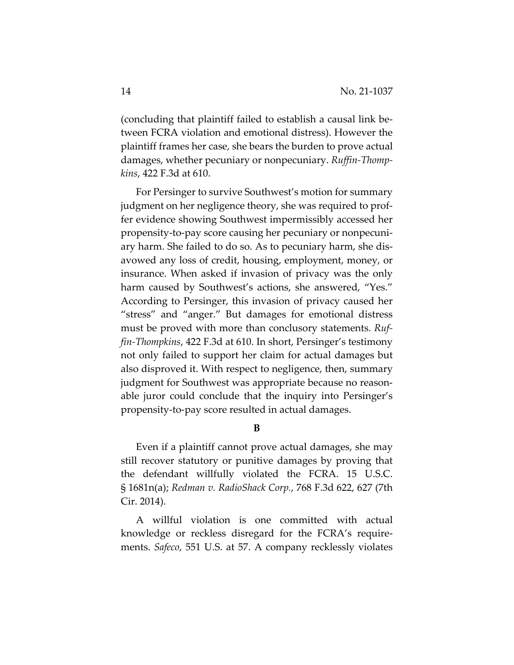(concluding that plaintiff failed to establish a causal link be‐ tween FCRA violation and emotional distress). However the plaintiff frames her case, she bears the burden to prove actual damages, whether pecuniary or nonpecuniary. *Ruffin‐Thomp‐ kins*, 422 F.3d at 610.

For Persinger to survive Southwest's motion for summary judgment on her negligence theory, she was required to prof‐ fer evidence showing Southwest impermissibly accessed her propensity‐to‐pay score causing her pecuniary or nonpecuni‐ ary harm. She failed to do so. As to pecuniary harm, she dis‐ avowed any loss of credit, housing, employment, money, or insurance. When asked if invasion of privacy was the only harm caused by Southwest's actions, she answered, "Yes." According to Persinger, this invasion of privacy caused her "stress" and "anger." But damages for emotional distress must be proved with more than conclusory statements. *Ruf‐ fin‐Thompkins*, 422 F.3d at 610. In short, Persinger's testimony not only failed to support her claim for actual damages but also disproved it. With respect to negligence, then, summary judgment for Southwest was appropriate because no reasonable juror could conclude that the inquiry into Persinger's propensity‐to‐pay score resulted in actual damages.

**B**

Even if a plaintiff cannot prove actual damages, she may still recover statutory or punitive damages by proving that the defendant willfully violated the FCRA. 15 U.S.C. § 1681n(a); *Redman v. RadioShack Corp.*, 768 F.3d 622, 627 (7th Cir. 2014).

A willful violation is one committed with actual knowledge or reckless disregard for the FCRA's require‐ ments. *Safeco*, 551 U.S. at 57. A company recklessly violates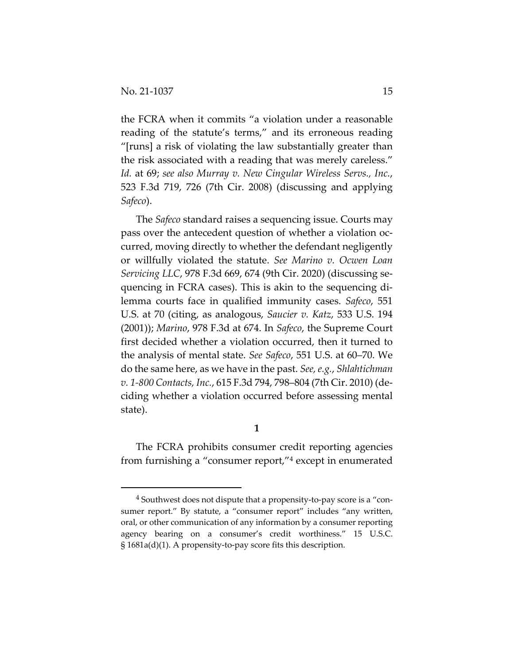the FCRA when it commits "a violation under a reasonable reading of the statute's terms," and its erroneous reading "[runs] a risk of violating the law substantially greater than the risk associated with a reading that was merely careless." *Id.* at 69; *see also Murray v. New Cingular Wireless Servs., Inc.*, 523 F.3d 719, 726 (7th Cir. 2008) (discussing and applying *Safeco*).

The *Safeco* standard raises a sequencing issue. Courts may pass over the antecedent question of whether a violation oc‐ curred, moving directly to whether the defendant negligently or willfully violated the statute. *See Marino v. Ocwen Loan Servicing LLC*, 978 F.3d 669, 674 (9th Cir. 2020) (discussing se‐ quencing in FCRA cases). This is akin to the sequencing di‐ lemma courts face in qualified immunity cases. *Safeco*, 551 U.S. at 70 (citing, as analogous, *Saucier v. Katz*, 533 U.S. 194 (2001)); *Marino*, 978 F.3d at 674. In *Safeco*, the Supreme Court first decided whether a violation occurred, then it turned to the analysis of mental state. *See Safeco*, 551 U.S. at 60–70. We do the same here, as we have in the past. *See, e.g.*, *Shlahtichman v. 1‐800 Contacts, Inc.*, 615 F.3d 794, 798–804 (7th Cir. 2010) (de‐ ciding whether a violation occurred before assessing mental state).

**1**

The FCRA prohibits consumer credit reporting agencies from furnishing a "consumer report,"4 except in enumerated

<sup>4</sup> Southwest does not dispute that a propensity‐to‐pay score is a "con‐ sumer report." By statute, a "consumer report" includes "any written, oral, or other communication of any information by a consumer reporting agency bearing on a consumer's credit worthiness." 15 U.S.C. § 1681a(d)(1). A propensity‐to‐pay score fits this description.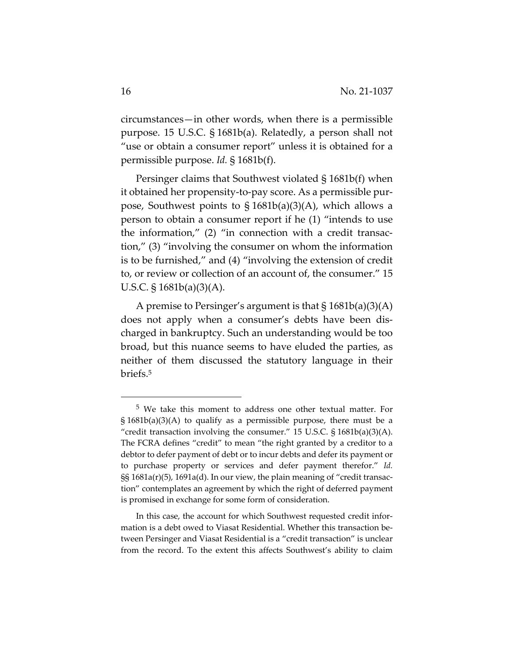circumstances—in other words, when there is a permissible purpose. 15 U.S.C. § 1681b(a). Relatedly, a person shall not "use or obtain a consumer report" unless it is obtained for a permissible purpose. *Id.* § 1681b(f).

Persinger claims that Southwest violated § 1681b(f) when it obtained her propensity‐to‐pay score. As a permissible pur‐ pose, Southwest points to  $\S 1681b(a)(3)(A)$ , which allows a person to obtain a consumer report if he (1) "intends to use the information," (2) "in connection with a credit transaction," (3) "involving the consumer on whom the information is to be furnished," and (4) "involving the extension of credit to, or review or collection of an account of, the consumer." 15 U.S.C. § 1681b(a)(3)(A).

A premise to Persinger's argument is that  $\S 1681b(a)(3)(A)$ does not apply when a consumer's debts have been dis‐ charged in bankruptcy. Such an understanding would be too broad, but this nuance seems to have eluded the parties, as neither of them discussed the statutory language in their briefs.5

<sup>5</sup> We take this moment to address one other textual matter. For § 1681b(a)(3)(A) to qualify as a permissible purpose, there must be a "credit transaction involving the consumer." 15 U.S.C. § 1681b(a)(3)(A). The FCRA defines "credit" to mean "the right granted by a creditor to a debtor to defer payment of debt or to incur debts and defer its payment or to purchase property or services and defer payment therefor." *Id.* §§ 1681a(r)(5), 1691a(d). In our view, the plain meaning of "credit transaction" contemplates an agreement by which the right of deferred payment is promised in exchange for some form of consideration.

In this case, the account for which Southwest requested credit infor‐ mation is a debt owed to Viasat Residential. Whether this transaction be‐ tween Persinger and Viasat Residential is a "credit transaction" is unclear from the record. To the extent this affects Southwest's ability to claim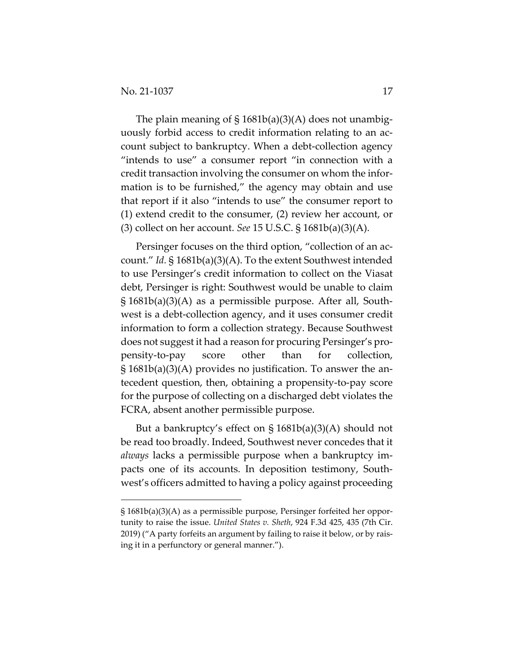The plain meaning of  $\S$  1681b(a)(3)(A) does not unambiguously forbid access to credit information relating to an ac‐ count subject to bankruptcy. When a debt‐collection agency "intends to use" a consumer report "in connection with a credit transaction involving the consumer on whom the infor‐ mation is to be furnished," the agency may obtain and use that report if it also "intends to use" the consumer report to (1) extend credit to the consumer, (2) review her account, or (3) collect on her account. *See* 15 U.S.C. § 1681b(a)(3)(A).

Persinger focuses on the third option, "collection of an ac‐ count." *Id.* § 1681b(a)(3)(A). To the extent Southwest intended to use Persinger's credit information to collect on the Viasat debt, Persinger is right: Southwest would be unable to claim § 1681b(a)(3)(A) as a permissible purpose. After all, South‐ west is a debt-collection agency, and it uses consumer credit information to form a collection strategy. Because Southwest does not suggest it had a reason for procuring Persinger's pro‐ pensity‐to‐pay score other than for collection, § 1681b(a)(3)(A) provides no justification. To answer the an‐ tecedent question, then, obtaining a propensity‐to‐pay score for the purpose of collecting on a discharged debt violates the FCRA, absent another permissible purpose.

But a bankruptcy's effect on  $\S 1681b(a)(3)(A)$  should not be read too broadly. Indeed, Southwest never concedes that it *always* lacks a permissible purpose when a bankruptcy im‐ pacts one of its accounts. In deposition testimony, South‐ west's officers admitted to having a policy against proceeding

<sup>§</sup> 1681b(a)(3)(A) as a permissible purpose, Persinger forfeited her oppor‐ tunity to raise the issue. *United States v. Sheth*, 924 F.3d 425, 435 (7th Cir. 2019) ("A party forfeits an argument by failing to raise it below, or by rais‐ ing it in a perfunctory or general manner.").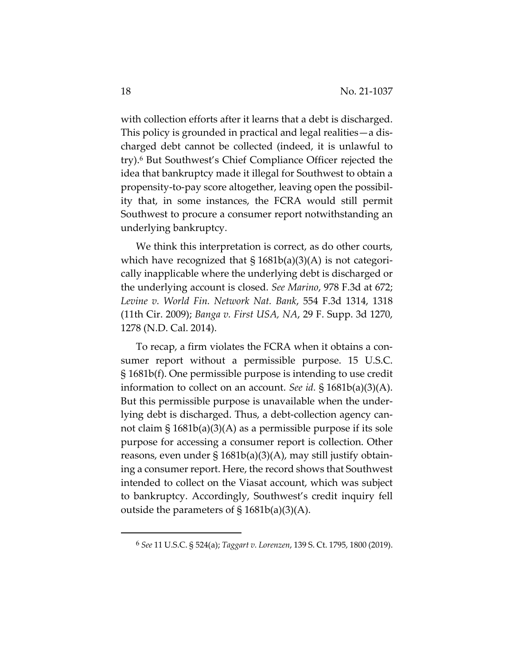with collection efforts after it learns that a debt is discharged. This policy is grounded in practical and legal realities—a dis‐ charged debt cannot be collected (indeed, it is unlawful to try).6 But Southwest's Chief Compliance Officer rejected the idea that bankruptcy made it illegal for Southwest to obtain a propensity‐to‐pay score altogether, leaving open the possibil‐ ity that, in some instances, the FCRA would still permit Southwest to procure a consumer report notwithstanding an underlying bankruptcy.

We think this interpretation is correct, as do other courts, which have recognized that  $\S 1681b(a)(3)(A)$  is not categorically inapplicable where the underlying debt is discharged or the underlying account is closed. *See Marino*, 978 F.3d at 672; *Levine v. World Fin. Network Nat. Bank*, 554 F.3d 1314, 1318 (11th Cir. 2009); *Banga v. First USA, NA*, 29 F. Supp. 3d 1270, 1278 (N.D. Cal. 2014).

To recap, a firm violates the FCRA when it obtains a con‐ sumer report without a permissible purpose. 15 U.S.C. § 1681b(f). One permissible purpose is intending to use credit information to collect on an account. *See id.* § 1681b(a)(3)(A). But this permissible purpose is unavailable when the under‐ lying debt is discharged. Thus, a debt‐collection agency can‐ not claim § 1681b(a)(3)(A) as a permissible purpose if its sole purpose for accessing a consumer report is collection. Other reasons, even under  $\S 1681b(a)(3)(A)$ , may still justify obtaining a consumer report. Here, the record shows that Southwest intended to collect on the Viasat account, which was subject to bankruptcy. Accordingly, Southwest's credit inquiry fell outside the parameters of  $\S$  1681b(a)(3)(A).

<sup>6</sup> *See* 11 U.S.C. § 524(a); *Taggart v. Lorenzen*, 139 S. Ct. 1795, 1800 (2019).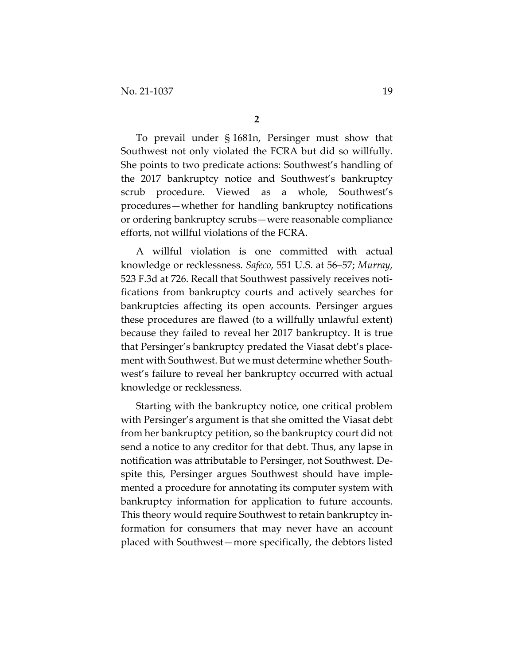To prevail under § 1681n, Persinger must show that Southwest not only violated the FCRA but did so willfully. She points to two predicate actions: Southwest's handling of the 2017 bankruptcy notice and Southwest's bankruptcy scrub procedure. Viewed as a whole, Southwest's procedures—whether for handling bankruptcy notifications or ordering bankruptcy scrubs—were reasonable compliance efforts, not willful violations of the FCRA.

A willful violation is one committed with actual knowledge or recklessness. *Safeco*, 551 U.S. at 56–57; *Murray*, 523 F.3d at 726. Recall that Southwest passively receives noti‐ fications from bankruptcy courts and actively searches for bankruptcies affecting its open accounts. Persinger argues these procedures are flawed (to a willfully unlawful extent) because they failed to reveal her 2017 bankruptcy. It is true that Persinger's bankruptcy predated the Viasat debt's place‐ ment with Southwest. But we must determine whether Southwest's failure to reveal her bankruptcy occurred with actual knowledge or recklessness.

Starting with the bankruptcy notice, one critical problem with Persinger's argument is that she omitted the Viasat debt from her bankruptcy petition, so the bankruptcy court did not send a notice to any creditor for that debt. Thus, any lapse in notification was attributable to Persinger, not Southwest. De‐ spite this, Persinger argues Southwest should have imple‐ mented a procedure for annotating its computer system with bankruptcy information for application to future accounts. This theory would require Southwest to retain bankruptcy in‐ formation for consumers that may never have an account placed with Southwest—more specifically, the debtors listed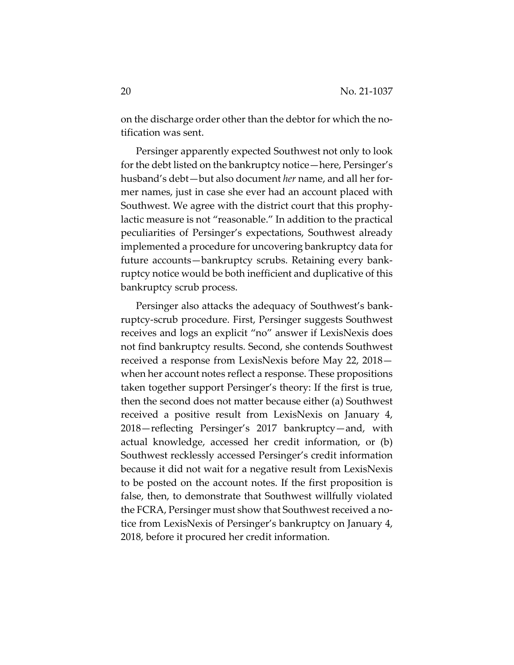on the discharge order other than the debtor for which the no‐ tification was sent.

Persinger apparently expected Southwest not only to look for the debt listed on the bankruptcy notice—here, Persinger's husband's debt—but also document *her* name, and all her for‐ mer names, just in case she ever had an account placed with Southwest. We agree with the district court that this prophy‐ lactic measure is not "reasonable." In addition to the practical peculiarities of Persinger's expectations, Southwest already implemented a procedure for uncovering bankruptcy data for future accounts—bankruptcy scrubs. Retaining every bank‐ ruptcy notice would be both inefficient and duplicative of this bankruptcy scrub process.

Persinger also attacks the adequacy of Southwest's bank‐ ruptcy‐scrub procedure. First, Persinger suggests Southwest receives and logs an explicit "no" answer if LexisNexis does not find bankruptcy results. Second, she contends Southwest received a response from LexisNexis before May 22, 2018 when her account notes reflect a response. These propositions taken together support Persinger's theory: If the first is true, then the second does not matter because either (a) Southwest received a positive result from LexisNexis on January 4, 2018—reflecting Persinger's 2017 bankruptcy—and, with actual knowledge, accessed her credit information, or (b) Southwest recklessly accessed Persinger's credit information because it did not wait for a negative result from LexisNexis to be posted on the account notes. If the first proposition is false, then, to demonstrate that Southwest willfully violated the FCRA, Persinger must show that Southwest received a notice from LexisNexis of Persinger's bankruptcy on January 4, 2018, before it procured her credit information.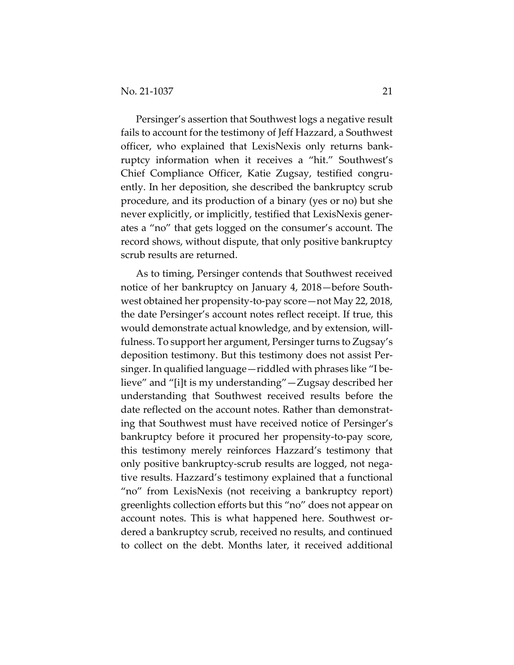Persinger's assertion that Southwest logs a negative result fails to account for the testimony of Jeff Hazzard, a Southwest officer, who explained that LexisNexis only returns bank‐ ruptcy information when it receives a "hit." Southwest's Chief Compliance Officer, Katie Zugsay, testified congru‐ ently. In her deposition, she described the bankruptcy scrub procedure, and its production of a binary (yes or no) but she never explicitly, or implicitly, testified that LexisNexis gener‐ ates a "no" that gets logged on the consumer's account. The record shows, without dispute, that only positive bankruptcy scrub results are returned.

As to timing, Persinger contends that Southwest received notice of her bankruptcy on January 4, 2018—before South‐ west obtained her propensity‐to‐pay score—not May 22, 2018, the date Persinger's account notes reflect receipt. If true, this would demonstrate actual knowledge, and by extension, willfulness. To support her argument, Persinger turns to Zugsay's deposition testimony. But this testimony does not assist Per‐ singer. In qualified language—riddled with phrases like "I be‐ lieve" and "[i]t is my understanding"—Zugsay described her understanding that Southwest received results before the date reflected on the account notes. Rather than demonstrat‐ ing that Southwest must have received notice of Persinger's bankruptcy before it procured her propensity‐to‐pay score, this testimony merely reinforces Hazzard's testimony that only positive bankruptcy‐scrub results are logged, not nega‐ tive results. Hazzard's testimony explained that a functional "no" from LexisNexis (not receiving a bankruptcy report) greenlights collection efforts but this "no" does not appear on account notes. This is what happened here. Southwest or‐ dered a bankruptcy scrub, received no results, and continued to collect on the debt. Months later, it received additional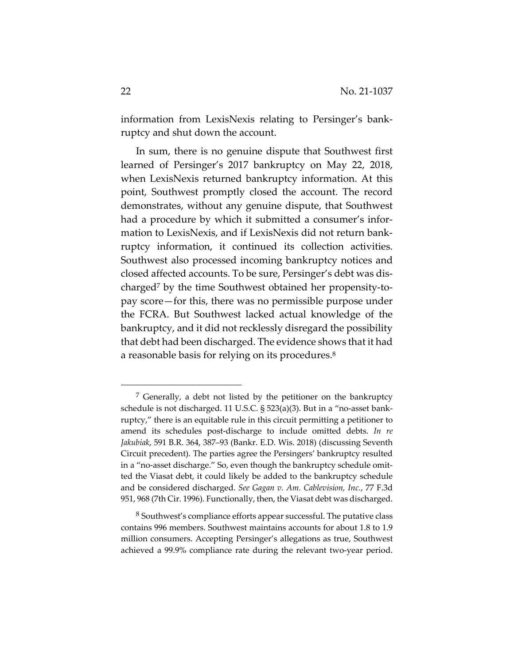information from LexisNexis relating to Persinger's bank‐ ruptcy and shut down the account.

In sum, there is no genuine dispute that Southwest first learned of Persinger's 2017 bankruptcy on May 22, 2018, when LexisNexis returned bankruptcy information. At this point, Southwest promptly closed the account. The record demonstrates, without any genuine dispute, that Southwest had a procedure by which it submitted a consumer's information to LexisNexis, and if LexisNexis did not return bank‐ ruptcy information, it continued its collection activities. Southwest also processed incoming bankruptcy notices and closed affected accounts. To be sure, Persinger's debt was dis‐ charged7 by the time Southwest obtained her propensity‐to‐ pay score—for this, there was no permissible purpose under the FCRA. But Southwest lacked actual knowledge of the bankruptcy, and it did not recklessly disregard the possibility that debt had been discharged. The evidence shows that it had a reasonable basis for relying on its procedures.<sup>8</sup>

<sup>7</sup> Generally, a debt not listed by the petitioner on the bankruptcy schedule is not discharged. 11 U.S.C. § 523(a)(3). But in a "no-asset bankruptcy," there is an equitable rule in this circuit permitting a petitioner to amend its schedules post‐discharge to include omitted debts. *In re Jakubiak*, 591 B.R. 364, 387–93 (Bankr. E.D. Wis. 2018) (discussing Seventh Circuit precedent). The parties agree the Persingers' bankruptcy resulted in a "no-asset discharge." So, even though the bankruptcy schedule omitted the Viasat debt, it could likely be added to the bankruptcy schedule and be considered discharged. *See Gagan v. Am. Cablevision, Inc.*, 77 F.3d 951, 968 (7th Cir. 1996). Functionally, then, the Viasat debt was discharged.

<sup>8</sup> Southwest's compliance efforts appear successful. The putative class contains 996 members. Southwest maintains accounts for about 1.8 to 1.9 million consumers. Accepting Persinger's allegations as true, Southwest achieved a 99.9% compliance rate during the relevant two‐year period.